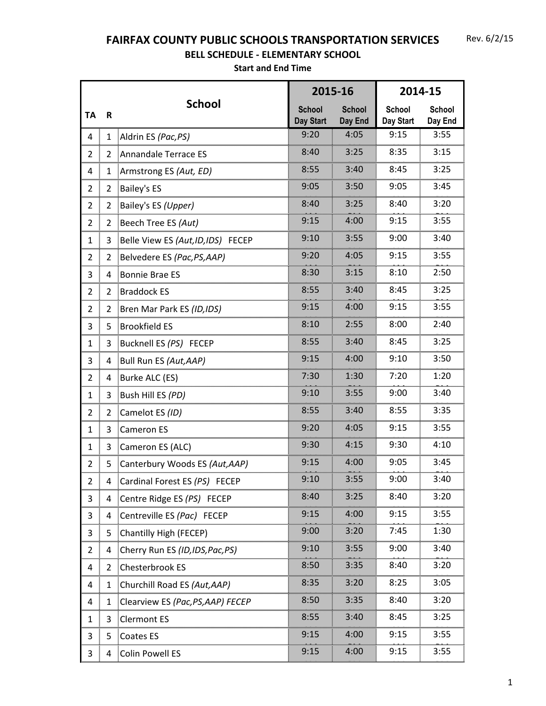## **FAIRFAX COUNTY PUBLIC SCHOOLS TRANSPORTATION SERVICES**

## **BELL SCHEDULE - ELEMENTARY SCHOOL**

|                |                |                                    |                                   | 2015-16                  | 2014-15                      |                                  |  |
|----------------|----------------|------------------------------------|-----------------------------------|--------------------------|------------------------------|----------------------------------|--|
| <b>TA</b>      | $\mathsf R$    | <b>School</b>                      | <b>School</b><br><b>Day Start</b> | <b>School</b><br>Day End | <b>School</b><br>Day Start   | <b>School</b><br>Day End         |  |
| 4              | $\mathbf{1}$   | Aldrin ES (Pac, PS)                | 9:20                              | 4:05                     | 9:15                         | 3:55                             |  |
| $\overline{2}$ | 2              | Annandale Terrace ES               | 8:40                              | 3:25                     | 8:35                         | 3:15                             |  |
| <br>4          |                | Armstrong ES (Aut, ED)             | 8:55                              | 3:40                     | 8:45                         | 3:25                             |  |
| $\overline{2}$ | 2              | <b>Bailey's ES</b>                 | 9:05                              | 3:50                     | 9:05                         | 3:45                             |  |
| $\overline{2}$ |                | Bailey's ES (Upper)                | 8:40                              | 3:25                     | 8:40                         | 3:20                             |  |
| $\overline{2}$ | 2              | Beech Tree ES (Aut)                | 9:15<br>4:00                      |                          | 9:15                         | 3:55                             |  |
| $\mathbf{1}$   | 3              | Belle View ES (Aut, ID, IDS) FECEP | 9:10<br>3:55                      |                          | 9:00                         | 3:40                             |  |
| $\overline{2}$ | $\overline{2}$ | Belvedere ES (Pac, PS, AAP)        | 9:20                              | 4:05                     | 9:15                         | 3:55                             |  |
| 3              | 4              | Bonnie Brae ES                     | 8:30<br>3:15                      |                          | 8:10                         | 2:50                             |  |
| $\overline{2}$ | $\overline{2}$ | <b>Braddock ES</b>                 | 8:55<br>3:40                      |                          | 8:45                         | 3:25                             |  |
| $\overline{2}$ | 2              | Bren Mar Park ES (ID, IDS)         | 9:15                              | 4:00                     | 9:15                         | 3:55                             |  |
| 3              | 5              | <b>Brookfield ES</b>               | 8:10                              | 2:55                     | 8:00                         | 2:40                             |  |
| $\mathbf{1}$   | 3              | Bucknell ES (PS) FECEP             | 8:55                              | 3:40                     | 8:45                         | 3:25                             |  |
| 3              | 4              | Bull Run ES (Aut, AAP)             | 9:15                              | 4:00                     | 9:10                         | 3:50                             |  |
| $\overline{2}$ | 4              | Burke ALC (ES)                     | 7:30                              | 1:30                     | 7:20                         | 1:20                             |  |
| $\mathbf{1}$   | 3              | Bush Hill ES (PD)                  | 9:10                              | 3:55                     | 9:00                         | 3:40                             |  |
| $\overline{2}$ | $\overline{2}$ | Camelot ES (ID)                    | 8:55                              | 3:40                     | 8:55                         | 3:35                             |  |
| $\mathbf{1}$   | 3              | Cameron ES                         | 9:20                              | 4:05                     | 9:15                         | 3:55                             |  |
| $\mathbf{1}$   | 3              | Cameron ES (ALC)                   | 9:30                              | 4:15                     | 9:30                         | 4:10                             |  |
| 2              | 5              | Canterbury Woods ES (Aut, AAP)     | 9:15                              | 4:00                     | 9:05                         | 3:45                             |  |
|                |                | Cardinal Forest ES (PS) FECEP      | 9:10                              | 3:55                     | 9:00<br>ğummunununununununun | 3:40<br>ភ្នំពេលលាយបានបានបានបានបា |  |
| 3              |                | Centre Ridge ES (PS) FECEP         | 8:40                              | 3:25                     | 8:40                         | 3:20                             |  |
| 3              | 4              | Centreville ES (Pac) FECEP         | 9:15                              | 4:00<br>unununuuman      | 9:15                         | 3:55                             |  |
| 3              |                | Chantilly High (FECEP)             | 9:00                              | 3:20                     | 7:45                         | 1:30                             |  |
| 2              | 4              | Cherry Run ES (ID, IDS, Pac, PS)   | 9:10                              | 3:55                     | 9:00                         | 3:40                             |  |
| 4              | 2              | Chesterbrook ES                    | 8:50                              | 3:35                     | 8:40                         | 3:20                             |  |
| 4              |                | Churchill Road ES (Aut, AAP)       | 8:35                              | 3:20                     | 8:25                         | 3:05                             |  |
| 4              | 1              | Clearview ES (Pac, PS, AAP) FECEP  | 8:50                              | 3:35                     | 8:40                         | 3:20                             |  |
| 1              | 3              | <b>Clermont ES</b>                 | 8:55                              | 3:40                     | 8:45                         | 3:25                             |  |
| 3              | 5              | Coates ES                          | 9:15                              | 4:00                     | 9:15                         | 3:55                             |  |
| 3              | 4              | <b>Colin Powell ES</b>             | 9:15                              | 4:00                     | 9:15                         | 3:55                             |  |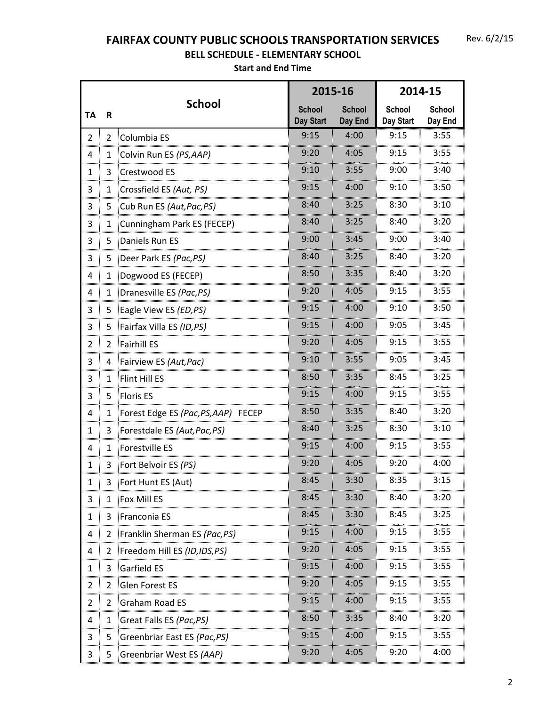## **FAIRFAX COUNTY PUBLIC SCHOOLS TRANSPORTATION SERVICES**

## **BELL SCHEDULE - ELEMENTARY SCHOOL**

|                |                |                                     |                            | 2015-16                  | 2014-15                                        |                          |
|----------------|----------------|-------------------------------------|----------------------------|--------------------------|------------------------------------------------|--------------------------|
| <b>TA</b>      | R              | <b>School</b>                       | <b>School</b><br>Day Start | <b>School</b><br>Day End | School<br>Day Start                            | <b>School</b><br>Day End |
| $\overline{2}$ | $\overline{2}$ | Columbia ES                         | 9:15                       | 4:00                     | 9:15                                           | 3:55                     |
| 4              | $\mathbf{1}$   | Colvin Run ES (PS, AAP)             | 9:20                       | 4:05                     | 9:15                                           | 3:55                     |
| $\mathbf{1}$   | 3              | Crestwood ES                        | 9:10                       | 3:55                     | 9:00                                           | 3:40                     |
| 3              | $\mathbf{1}$   | Crossfield ES (Aut, PS)             | 9:15                       | 4:00                     | 9:10                                           | 3:50                     |
| 3              | 5              | Cub Run ES (Aut, Pac, PS)           | 8:40                       | 3:25                     | 8:30                                           | 3:10                     |
| mm<br>3        | $\mathbf{1}$   | Cunningham Park ES (FECEP)          | 3:25<br>8:40               |                          | 8:40                                           | 3:20                     |
| 3              | 5              | Daniels Run ES                      | 9:00<br>3:45               |                          | 9:00                                           | 3:40                     |
| 3              | 5              | Deer Park ES (Pac, PS)              | 8:40                       | 3:25                     | 8:40                                           | 3:20                     |
| 4              | $\mathbf{1}$   | Dogwood ES (FECEP)                  | 8:50<br>3:35               |                          | 8:40                                           | 3:20                     |
| 4<br>          | 1              | Dranesville ES (Pac, PS)            | 4:05<br>9:20               |                          | 9:15                                           | 3:55                     |
| 3              | 5              | Eagle View ES (ED, PS)              | 9:15<br>4:00               |                          | 9:10                                           | 3:50                     |
| 3              | 5              | Fairfax Villa ES (ID, PS)           | 9:15<br>4:00<br>9:05       |                          |                                                | 3:45                     |
| 2              | $\overline{2}$ | Fairhill ES                         | 9:20                       | 4:05                     | 9:15                                           | 3:55                     |
| 3              | 4              | Fairview ES (Aut, Pac)              | 9:10                       | 3:55                     | 9:05                                           | 3:45                     |
| 3              | $\mathbf{1}$   | Flint Hill ES                       | 8:50                       | 3:35                     | 8:45                                           | 3:25                     |
| 3              | 5              | <b>Floris ES</b>                    | 9:15                       | 4:00                     | 9:15                                           | 3:55                     |
| 4              | $\mathbf{1}$   | Forest Edge ES (Pac, PS, AAP) FECEP | 8:50                       | 3:35                     | 8:40                                           | 3:20                     |
| $\mathbf{1}$   | 3              | Forestdale ES (Aut, Pac, PS)        | 8:40                       | 3:25                     | 8:30                                           | 3:10                     |
| $\overline{4}$ | $\mathbf{1}$   | Forestville ES                      | 9:15                       | 4:00                     | 9:15                                           | 3:55                     |
| $\mathbf{1}$   | 3              | Fort Belvoir ES (PS)                | 9:20                       | 4:05                     | 9:20                                           | 4:00                     |
| T              |                | FORT HUNTES (AUT)                   | 8:45                       | 3:30                     | 8:35                                           | 3:15                     |
| 3              | 1              | Fox Mill ES                         | 8:45                       | 3:30                     | 8:40                                           | 3:20                     |
| 1              | 3              | Franconia ES                        | 8:45                       | 3:30                     | 8:45<br>ការបារបារបណ្តឹងអោយអោយភាពភាពអោយអោយអញ្ជឹ | 3:25                     |
| 4              | 2              | Franklin Sherman ES (Pac, PS)       | 9:15                       | 4:00                     | 9:15                                           | 3:55                     |
| 4              | 2              | Freedom Hill ES (ID, IDS, PS)       | 9:20                       | 4:05                     | 9:15                                           | 3:55                     |
| 1              | 3              | Garfield ES                         | 9:15                       | 4:00                     | 9:15                                           | 3:55                     |
| 2              | 2              | <b>Glen Forest ES</b>               | 9:20                       | 4:05                     | 9:15                                           | 3:55                     |
| 2              | 2              | Graham Road ES                      | 9:15                       | 4:00                     | 9:15                                           | 3:55                     |
| 4              | 1              | Great Falls ES (Pac, PS)            | 8:50                       | 3:35                     | 8:40                                           | 3:20                     |
| 3              | 5              | Greenbriar East ES (Pac, PS)        | 9:15                       | 4:00                     | 9:15                                           | 3:55                     |
| 3              | 5              | Greenbriar West ES (AAP)            | 9:20                       | 4:05                     | 9:20                                           | 4:00                     |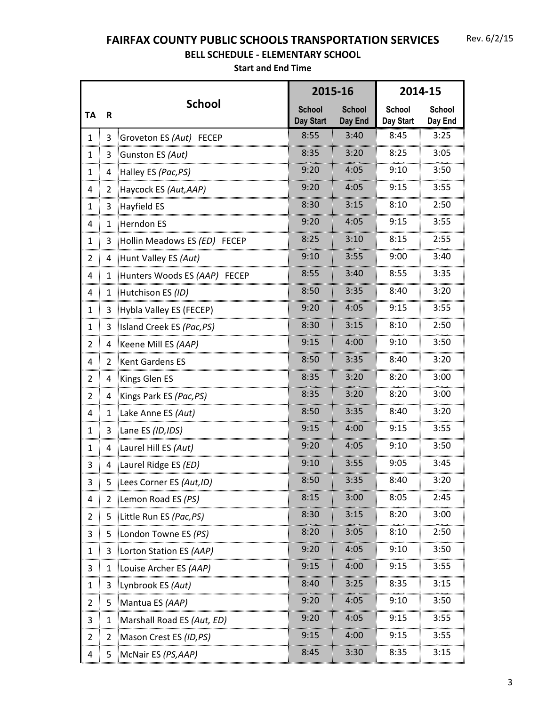## **FAIRFAX COUNTY PUBLIC SCHOOLS TRANSPORTATION SERVICES**

## **BELL SCHEDULE - ELEMENTARY SCHOOL**

|                |               |                               | 2015-16                    |                          | 2014-15                                          |                          |
|----------------|---------------|-------------------------------|----------------------------|--------------------------|--------------------------------------------------|--------------------------|
| <b>TA</b>      | R             | <b>School</b>                 | <b>School</b><br>Day Start | <b>School</b><br>Day End | <b>School</b><br>Day Start                       | <b>School</b><br>Day End |
| 1              | 3             | Groveton ES (Aut) FECEP       | 8:55                       | 3:40                     | 8:45                                             | 3:25                     |
| $\mathbf{1}$   | 3             | Gunston ES (Aut)              | 8:35                       | 3:20                     | 8:25                                             | 3:05                     |
| $\mathbf{1}$   | 4             | Halley ES (Pac, PS)           | 9:20                       | 4:05                     | 9:10                                             | 3:50                     |
| 4              | 2             | Haycock ES (Aut, AAP)         | 9:20                       | 4:05                     | 9:15                                             | 3:55                     |
| 1              | 3             | <b>Hayfield ES</b>            | 8:30                       | 3:15                     | 8:10                                             | 2:50                     |
| mm<br>4        | $\mathbf{1}$  | Herndon ES                    | 9:20<br>4:05               |                          | 9:15                                             | 3:55                     |
| 1              | 3             | Hollin Meadows ES (ED) FECEP  | 8:25                       | 3:10                     | 8:15                                             | 2:55                     |
| $\overline{2}$ | 4             | Hunt Valley ES (Aut)          | 9:10                       | 3:55                     | 9:00                                             | 3:40                     |
| 4              | $\mathbf{1}$  | Hunters Woods ES (AAP) FECEP  | 8:55                       | 3:40                     | 8:55                                             | 3:35                     |
| $\overline{4}$ | 1             | Hutchison ES (ID)             | 8:50<br>3:35               |                          | 8:40                                             | 3:20                     |
| $\mathbf{1}$   | 3             | Hybla Valley ES (FECEP)       | 9:20<br>4:05               |                          | 9:15                                             | 3:55                     |
| $\mathbf{1}$   | 3             | Island Creek ES (Pac, PS)     | 8:30                       | 3:15                     | 8:10                                             | 2:50                     |
| 2              | 4             | Keene Mill ES (AAP)           | 9:15                       | 4:00                     | 9:10                                             | 3:50                     |
| 4              | $\mathcal{P}$ | Kent Gardens ES               | 8:50                       | 3:35                     | 8:40                                             | 3:20                     |
| 2              | 4             | Kings Glen ES                 | 8:35                       | 3:20                     | 8:20                                             | 3:00                     |
| $\overline{2}$ |               | Kings Park ES (Pac, PS)       | 8:35                       | 3:20                     | 8:20                                             | 3:00                     |
| 4              | $\mathbf{1}$  | Lake Anne ES (Aut)            | 8:50                       | 3:35                     | 8:40                                             | 3:20                     |
| $\mathbf{1}$   | 3             | Lane ES (ID, IDS)             | 9:15                       | 4:00                     | 9:15                                             | 3:55                     |
| 1              | 4             | Laurel Hill ES (Aut)          | 9:20                       | 4:05                     | 9:10                                             | 3:50                     |
| 3              | 4             | Laurel Ridge ES (ED)          | 9:10                       | 3:55                     | 9:05                                             | 3:45                     |
| з              |               | Lees Corner ES (Aut, ID)      | 8:50                       | 3:35                     | 8:40                                             | 3:20                     |
| 4              | 2             | Lemon Road ES (PS)            | 8:15                       | 3:00                     | 8:05                                             | 2:45                     |
| 2<br>mm        | 5             | Little Run ES <i>(Pac,PS)</i> | 8:30                       | 3:15                     | 8:20<br><u> Automorphinium montantinium muun</u> | 3:00                     |
| 3              | 5             | London Towne ES (PS)          | 8:20                       | 3:05                     | 8:10                                             | 2:50                     |
| 1              | 3             | Lorton Station ES (AAP)       | 9:20                       | 4:05                     | 9:10                                             | 3:50                     |
| 3              | 1             | Louise Archer ES (AAP)        | 9:15                       | 4:00                     | 9:15                                             | 3:55                     |
| 1              | 3             | Lynbrook ES (Aut)             | 8:40                       | 3:25                     | 8:35                                             | 3:15                     |
| 2              | 5             | Mantua ES (AAP)               | 9:20                       | 4:05                     | 9:10                                             | 3:50                     |
| 3              | 1             | Marshall Road ES (Aut, ED)    | 9:20                       | 4:05                     | 9:15                                             | 3:55                     |
| 2              | 2             | Mason Crest ES (ID, PS)       | 9:15                       | 4:00                     | 9:15                                             | 3:55                     |
| 4              | 5             | McNair ES (PS, AAP)           | 8:45                       | 3:30                     | 8:35                                             | 3:15                     |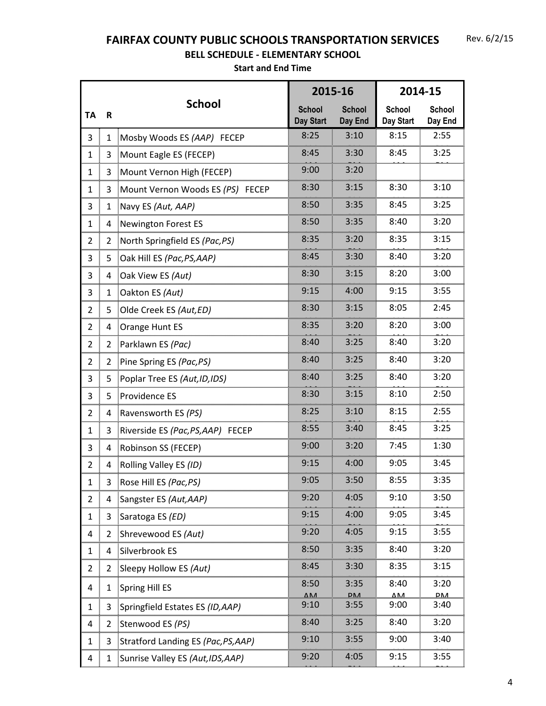## **FAIRFAX COUNTY PUBLIC SCHOOLS TRANSPORTATION SERVICES**

## **BELL SCHEDULE - ELEMENTARY SCHOOL**

|                |                |                                     |                                   | 2015-16                  | 2014-15                    |                          |  |
|----------------|----------------|-------------------------------------|-----------------------------------|--------------------------|----------------------------|--------------------------|--|
| <b>TA</b>      | R              | <b>School</b>                       | <b>School</b><br><b>Day Start</b> | <b>School</b><br>Day End | <b>School</b><br>Day Start | <b>School</b><br>Day End |  |
| 3              | $\mathbf{1}$   | Mosby Woods ES (AAP) FECEP          | 8:25                              | 3:10                     | 8:15                       | 2:55                     |  |
| $\mathbf{1}$   | 3              | Mount Eagle ES (FECEP)              | 8:45                              | 3:30                     | 8:45                       | 3:25                     |  |
| 1              | 3              | Mount Vernon High (FECEP)           | 9:00                              | 3:20                     |                            |                          |  |
| $\mathbf{1}$   | 3              | Mount Vernon Woods ES (PS) FECEP    | 8:30                              | 3:15                     | 8:30                       | 3:10                     |  |
| 3<br>mm        |                | Navy ES (Aut, AAP)                  | 8:50                              | 3:35                     | 8:45                       | 3:25                     |  |
| $\mathbf{1}$   | 4              | Newington Forest ES                 | 8:50                              | 3:35                     | 8:40                       | 3:20                     |  |
| 2              | 2              | North Springfield ES (Pac, PS)      | 8:35                              | 3:20                     | 8:35                       | 3:15                     |  |
| 3              | 5              | Oak Hill ES (Pac, PS, AAP)          | 8:45                              | 3:30                     | 8:40                       | 3:20                     |  |
| 3              | 4              | Oak View ES (Aut)                   | 8:30                              | 3:15                     | 8:20                       | 3:00                     |  |
| 3              | 1              | Oakton ES (Aut)                     | 9:15<br>4:00                      |                          | 9:15                       | 3:55                     |  |
| $\overline{2}$ |                | Olde Creek ES (Aut, ED)             | 8:30                              | 3:15                     | 8:05                       | 2:45                     |  |
| $\overline{2}$ | 4              | Orange Hunt ES                      | 8:35                              | 3:20                     | 8:20                       | 3:00                     |  |
| 2              | 2              | Parklawn ES (Pac)                   | 8:40                              | 3:25                     | 8:40                       | 3:20                     |  |
| $\overline{2}$ | $\overline{2}$ | Pine Spring ES (Pac, PS)            | 8:40                              | 3:25                     | 8:40                       | 3:20                     |  |
| 3              | 5              | Poplar Tree ES (Aut, ID, IDS)       | 8:40                              | 3:25                     | 8:40                       | 3:20                     |  |
| 3              | 5              | Providence ES                       | 8:30<br>3:15                      |                          | 8:10                       | 2:50                     |  |
| $\overline{2}$ | 4              | Ravensworth ES (PS)                 | 8:25                              | 3:10                     | 8:15                       | 2:55                     |  |
| $\mathbf{1}$   | 3              | Riverside ES (Pac, PS, AAP) FECEP   | 8:55                              | 3:40                     | 8:45                       | 3:25                     |  |
| 3              | 4              | Robinson SS (FECEP)                 | 9:00                              | 3:20                     | 7:45                       | 1:30                     |  |
| 2              | 4              | Rolling Valley ES (ID)              | 9:15                              | 4:00                     | 9:05                       | 3:45                     |  |
| T,             |                | ROSE HIII ES ( <i>POC,PS)</i>       | 9:05                              | 3:50                     | 8:55                       | 3:35                     |  |
| 2              |                | Sangster ES (Aut, AAP)              | 9:20                              | 4:05                     | 9:10                       | 3:50                     |  |
| 1              | 3              | Saratoga ES (ED)                    | 9:15                              | 4:00                     | 9:05                       | 3:45                     |  |
| 4              | 2              | Shrevewood ES (Aut)                 | 9:20                              | 4:05                     | <br>9:15                   | 3:55                     |  |
| 1              | 4              | Silverbrook ES                      | 8:50                              | 3:35                     | 8:40                       | 3:20                     |  |
| 2              | 2              | Sleepy Hollow ES (Aut)              | 8:45                              | 3:30                     | 8:35                       | 3:15                     |  |
| 4              | 1              | Spring Hill ES                      | 8:50                              | 3:35                     | 8:40                       | 3:20                     |  |
| 1              | 3              | Springfield Estates ES (ID, AAP)    | 9:10                              | <u>DM</u><br>3:55        | 5.<br>9:00                 | 3:40                     |  |
| 4              | 2              | Stenwood ES (PS)                    | 8:40                              | 3:25                     | 8:40                       | 3:20                     |  |
| 1              | 3              | Stratford Landing ES (Pac, PS, AAP) | 9:10                              | 3:55                     | 9:00                       | 3:40                     |  |
| 4              |                | Sunrise Valley ES (Aut, IDS, AAP)   | 9:20                              | 4:05                     | 9:15                       | 3:55                     |  |
|                |                |                                     |                                   |                          |                            |                          |  |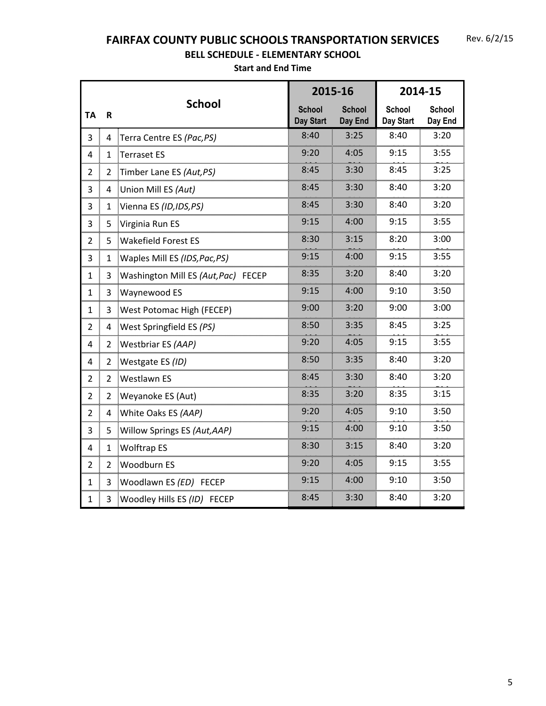## **FAIRFAX COUNTY PUBLIC SCHOOLS TRANSPORTATION SERVICES**

## **BELL SCHEDULE - ELEMENTARY SCHOOL**

|                |                         |                                     | 2015-16                           |                          | 2014-15                    |                          |
|----------------|-------------------------|-------------------------------------|-----------------------------------|--------------------------|----------------------------|--------------------------|
| <b>TA</b>      | $\overline{\mathsf{R}}$ | <b>School</b>                       | <b>School</b><br><b>Day Start</b> | <b>School</b><br>Day End | <b>School</b><br>Day Start | <b>School</b><br>Day End |
| 3              | 4                       | Terra Centre ES (Pac, PS)           | 8:40                              | 3:25                     | 8:40                       | 3:20                     |
| 4              | 1                       | Terraset ES                         | 9:20                              | 4:05                     | 9:15                       | 3:55                     |
| $\overline{2}$ | $\overline{2}$          | Timber Lane ES (Aut, PS)            | 8:45                              | 3:30                     | 8:45                       | 3:25                     |
| 3              | 4                       | Union Mill ES (Aut)                 | 8:45                              | 3:30                     | 8:40                       | 3:20                     |
| 3<br>          | 1                       | Vienna ES (ID, IDS, PS)             | 8:45                              | 3:30                     | 8:40                       | 3:20                     |
| 3<br>          | 5                       | Virginia Run ES                     | 9:15                              | 4:00                     | 9:15                       | 3:55                     |
| $\overline{2}$ | 5                       | <b>Wakefield Forest ES</b>          | 8:30                              | 3:15                     | 8:20                       | 3:00                     |
| 3              | $\mathbf{1}$            | Waples Mill ES (IDS, Pac, PS)       | 9:15                              | 4:00                     | 9:15                       | 3:55                     |
| 1              | 3                       | Washington Mill ES (Aut, Pac) FECEP | 8:35                              | 3:20                     | 8:40                       | 3:20                     |
| 1              | 3                       | <b>Waynewood ES</b>                 | 9:15                              | 4:00                     | 9:10                       | 3:50                     |
| 1              | 3                       | West Potomac High (FECEP)           | 9:00                              | 3:20                     | 9:00                       | 3:00                     |
| $\overline{2}$ | 4                       | West Springfield ES (PS)            | 8:50                              | 3:35                     | 8:45                       | 3:25                     |
| 4              | 2                       | Westbriar ES (AAP)                  | 9:20                              | 4:05                     | 9:15                       | 3:55                     |
| 4              | 2                       | Westgate ES (ID)                    | 8:50                              | 3:35                     | 8:40                       | 3:20                     |
| $\overline{2}$ | 2                       | <b>Westlawn ES</b>                  | 8:45                              | 3:30                     | 8:40                       | 3:20                     |
| $\overline{2}$ | 2                       | Weyanoke ES (Aut)                   | 8:35                              | 3:20                     | 8:35                       | 3:15                     |
| $\overline{2}$ | 4                       | White Oaks ES (AAP)                 | 9:20                              | 4:05                     | 9:10                       | 3:50                     |
| 3              | 5                       | Willow Springs ES (Aut, AAP)        | 9:15                              | 4:00                     | 9:10                       | 3:50                     |
| 4              | $\mathbf{1}$            | <b>Wolftrap ES</b>                  | 8:30                              | 3:15                     | 8:40                       | 3:20                     |
| 2              | 2                       | Woodburn ES                         | 9:20                              | 4:05                     | 9:15                       | 3:55                     |
| 1              | 3                       | Woodlawn ES (ED) FECEP              | 9:15                              | 4:00                     | 9:10                       | 3:50                     |
| $\mathbf{1}$   | 3                       | Woodley Hills ES (ID) FECEP         | 8:45                              | 3:30                     | 8:40                       | 3:20                     |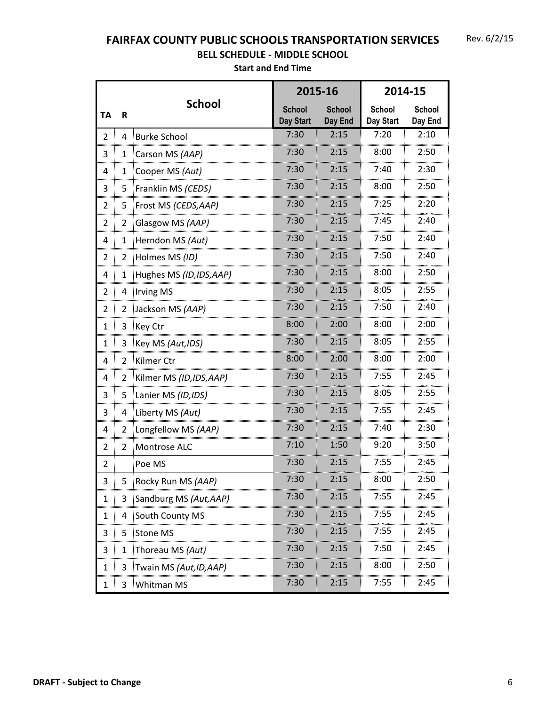## **FAIRFAX COUNTY PUBLIC SCHOOLS TRANSPORTATION SERVICES**

## **BELL SCHEDULE - MIDDLE SCHOOL**

|                |                |                          |                                   | 2015-16                  |                            | 2014-15                                                   |
|----------------|----------------|--------------------------|-----------------------------------|--------------------------|----------------------------|-----------------------------------------------------------|
| <b>TA</b>      | $\mathsf R$    | <b>School</b>            | <b>School</b><br><b>Day Start</b> | <b>School</b><br>Day End | <b>School</b><br>Day Start | School<br>Day End                                         |
| $\overline{2}$ | 4              | <b>Burke School</b>      | 7:30                              | 2:15                     | 7:20                       | 2:10                                                      |
| 3              | 1              | Carson MS (AAP)          | 7:30                              | 2:15                     | 8:00                       | 2:50                                                      |
| 4              | 1              | Cooper MS (Aut)          | 7:30                              | 2:15                     | 7:40                       | 2:30                                                      |
| 3              | 5              | Franklin MS (CEDS)       | 7:30                              | 2:15                     | 8:00                       | 2:50                                                      |
| 2              | 5              | Frost MS (CEDS, AAP)     | 7:30                              | 2:15                     | 7:25                       | 2:20                                                      |
| $\overline{2}$ | 2              | Glasgow MS (AAP)         | 7:30                              | 2:15                     | 7:45                       | 2:40                                                      |
| 4              | 1              | Herndon MS (Aut)         | 7:30                              | 2:15<br><del></del>      | 7:50                       | 2:40                                                      |
| 2              | 2              | Holmes MS (ID)           | 7:30                              | 2:15                     | 7:50                       | 2:40                                                      |
| 4              | 1              | Hughes MS (ID, IDS, AAP) | 7:30                              | 2:15                     | 8:00                       | 2:50                                                      |
| 2              | 4              | <b>Irving MS</b>         | 7:30                              | 2:15                     | 8:05                       | 2:55                                                      |
| $\overline{2}$ | $\overline{2}$ | Jackson MS (AAP)         | 7:30                              | 2:15                     | 7:50                       | 2:40                                                      |
| $\mathbf{1}$   | 3              | Key Ctr                  | 8:00                              | 2:00                     | 8:00                       | 2:00                                                      |
| $\mathbf{1}$   | 3              | Key MS (Aut, IDS)        | 7:30                              | 2:15                     | 8:05                       | 2:55                                                      |
| 4              | 2              | Kilmer Ctr               | 8:00                              | 2:00                     | 8:00                       | 2:00                                                      |
| $\overline{4}$ | 2              | Kilmer MS (ID, IDS, AAP) | 7:30                              | 2:15                     | 7:55                       | 2:45                                                      |
| 3              | 5              | Lanier MS (ID, IDS)      | 7:30                              | 2:15                     | 8:05                       | 2:55                                                      |
| 3              | 4              | Liberty MS (Aut)         | 7:30                              | 2:15                     | 7:55                       | 2:45                                                      |
| 4              | $\overline{2}$ | Longfellow MS (AAP)      | 7:30                              | 2:15                     | 7:40                       | 2:30                                                      |
| $\overline{2}$ | $\overline{2}$ | Montrose ALC             | 7:10                              | 1:50                     | 9:20                       | 3:50                                                      |
| $\overline{2}$ |                | Poe MS                   | 7:30                              | 2:15                     | 7:55                       | 2:45                                                      |
| 3              | 5              | Rocky Run MS (AAP)       | 7:30                              | 2:15                     | 8:00                       | 2:50                                                      |
| 1              | 3              | Sandburg MS (Aut, AAP)   | 7:30                              | 2:15                     | 7:55                       | 2:45                                                      |
| 1              | 4              | South County MS          | 7:30                              | 2:15                     | <br>7:55                   | 2:45                                                      |
| 3              | 5              | Stone MS                 | 7:30                              | 2:15                     | 7:55                       | 2:45                                                      |
| 3              | 1              | Thoreau MS <i>(Aut)</i>  | 7:30                              | 2:15                     | 7:50                       | យបណ្តាលពីលោកបានបញ្ចូលពីលោកបានបញ្ជាក់បានបញ្ចូលពីបា<br>2:45 |
| 1              | 3              | Twain MS (Aut, ID, AAP)  | 7:30                              | 2:15                     | 8:00                       | 2:50                                                      |
| 1              | 3              | Whitman MS               | 7:30                              | 2:15                     | mumumum<br>7:55            | 2:45                                                      |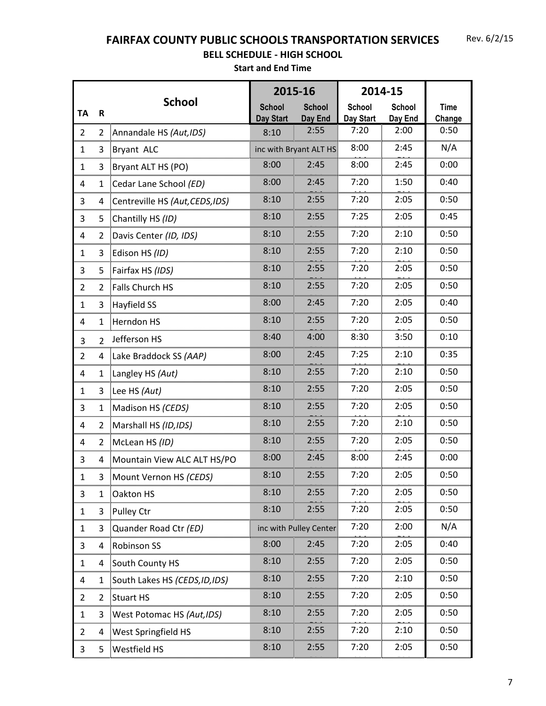**FAIRFAX COUNTY PUBLIC SCHOOLS TRANSPORTATION SERVICES**

#### **BELL SCHEDULE - HIGH SCHOOL**

|                      |                |                                 | 2015-16          |                                | 2014-15           |                 |                |
|----------------------|----------------|---------------------------------|------------------|--------------------------------|-------------------|-----------------|----------------|
| <b>TA</b>            | $\mathbf R$    | <b>School</b>                   | <b>School</b>    | <b>School</b>                  | <b>School</b>     | <b>School</b>   | <b>Time</b>    |
|                      |                |                                 | <b>Day Start</b> | Day End<br>2:55                | Day Start<br>7:20 | Day End<br>2:00 | Change<br>0:50 |
| $\overline{2}$       | $\overline{2}$ | Annandale HS (Aut, IDS)         | 8:10             |                                | 8:00              | 2:45            | N/A            |
| $\mathbf{1}$         | 3              | Bryant ALC                      | 8:00             | inc with Bryant ALT HS<br>2:45 | 8:00              | 2:45            | 0:00           |
| 1                    | 3              | Bryant ALT HS (PO)              |                  |                                | 7:20              | 1:50            | 0:40           |
| 4<br>mm              | 1              | Cedar Lane School (ED)          | 8:00             | 2:45                           |                   |                 |                |
| 3                    | 4              | Centreville HS (Aut, CEDS, IDS) | 8:10             | 2:55                           | 7:20              | 2:05            | 0:50           |
| 3                    | 5              | Chantilly HS (ID)               | 8:10             | 2:55                           | 7:25              | 2:05            | 0:45           |
| 4                    | 2              | Davis Center (ID, IDS)          | 8:10<br>2:55     |                                | 7:20              | 2:10            | 0:50           |
| $\mathbf{1}$         | 3              | Edison HS (ID)                  | 8:10             | 2:55                           | 7:20              | 2:10            | 0:50           |
| 3<br>                | 5              | Fairfax HS (IDS)                | 8:10<br>2:55     |                                | 7:20              | 2:05            | 0:50           |
| 2                    | 2              | <b>Falls Church HS</b>          | 8:10<br>2:55     |                                | 7:20              | 2:05            | 0:50           |
| 1                    | 3              | Hayfield SS                     | 8:00             | 2:45                           | 7:20              | 2:05            | 0:40           |
| 4                    |                | Herndon HS                      | 8:10             | 2:55                           | 7:20              | 2:05            | 0:50           |
| 3                    | $\mathfrak{p}$ | Jefferson HS                    | 8:40             | 4:00                           | 8:30              | 3:50            | 0:10           |
| mm<br>$\overline{2}$ |                | 4 Lake Braddock SS (AAP)        | 8:00             | 2:45                           | 7:25              | 2:10            | 0:35           |
| 4                    |                | 1 Langley HS (Aut)              | 8:10             | 2:55                           | 7:20              | 2:10            | 0:50           |
| 1                    | 3              | Lee HS $(Aut)$                  | 8:10             | 2:55                           | 7:20              | 2:05            | 0:50           |
| 3<br>mmm             |                | Madison HS (CEDS)               | 8:10             | 2:55                           | 7:20              | 2:05            | 0:50           |
| 4                    |                | 2  Marshall HS (ID, IDS)        | 8:10             | 2:55                           | 7:20              | 2:10            | 0:50           |
| 4                    | $\overline{2}$ | McLean HS (ID)                  | 8:10             | 2:55                           | 7:20              | 2:05            | 0:50           |
| 3                    |                | 4 Mountain View ALC ALT HS/PO   | 8:00             | 2:45                           | 8:00              | 2:45            | 0:00           |
|                      |                | 3 Mount Vernon HS (CEDS)        | 8:10             | 2:55                           | 7:20              | 2:05            | 0:50           |
| 3                    | 1              | Oakton HS                       | 8:10             | 2:55                           | 7:20              | 2:05            | 0:50           |
| 1                    | 3              | Pulley Ctr                      | 8:10             | 2:55                           | 7:20              | 2:05            | 0:50           |
| 1                    | 3              | Quander Road Ctr (ED)           |                  | inc with Pulley Center         | 7:20              | 2:00            | N/A            |
| 3                    | 4              | <b>Robinson SS</b>              | 8:00             | 2:45                           | 7:20              | 2:05            | 0:40           |
| 1                    |                | South County HS                 | 8:10             | 2:55                           | 7:20              | 2:05            | 0:50           |
| 4                    | 1              | South Lakes HS (CEDS, ID, IDS)  | 8:10             | 2:55                           | 7:20              | 2:10            | 0:50           |
| 2                    | 2              | <b>Stuart HS</b>                | 8:10             | 2:55                           | 7:20              | 2:05            | 0:50           |
| 1                    |                | [West Potomac HS (Aut, IDS)     | 8:10             | 2:55                           | 7:20              | 2:05            | 0:50           |
| 2                    | 4              | <b>West Springfield HS</b>      | 8:10             | 2:55                           | 7:20              | 2:10            | 0:50           |
| 3                    | 5              | <b>Westfield HS</b>             | 8:10             | 2:55                           | 7:20              | 2:05            | 0:50           |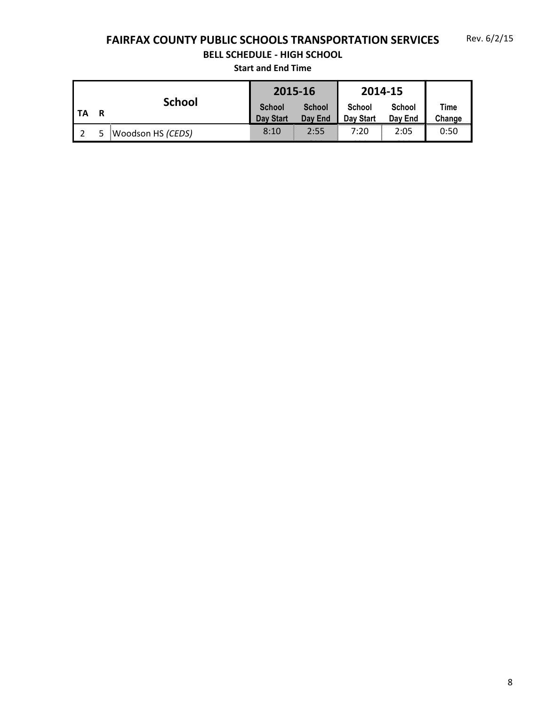# **FAIRFAX COUNTY PUBLIC SCHOOLS TRANSPORTATION SERVICES**

## **BELL SCHEDULE - HIGH SCHOOL**

|    |                    |                                   | 2015-16                  |                     | 2014-15                  |                |
|----|--------------------|-----------------------------------|--------------------------|---------------------|--------------------------|----------------|
| ΤA | <b>School</b><br>R | <b>School</b><br><b>Day Start</b> | <b>School</b><br>Day End | School<br>Day Start | <b>School</b><br>Day End | Time<br>Change |
|    | Woodson HS (CEDS)  | 8:10                              | 2:55                     | 7:20                | 2:05                     | 0:50           |
|    |                    |                                   |                          |                     |                          |                |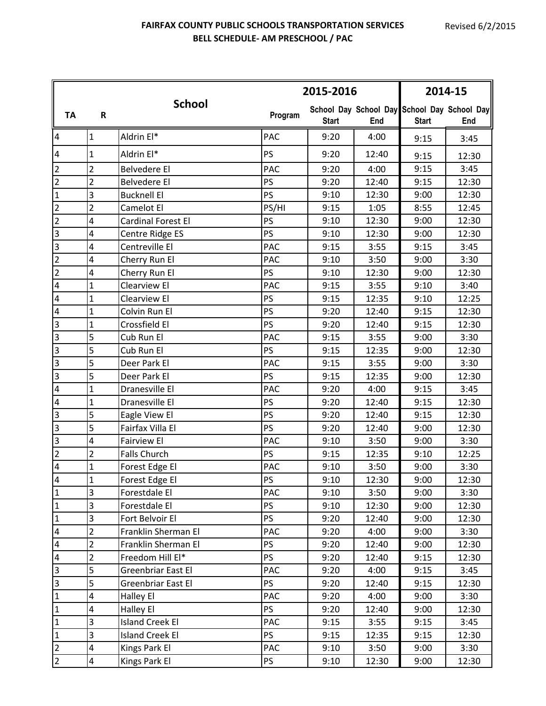#### **FAIRFAX COUNTY PUBLIC SCHOOLS TRANSPORTATION SERVICES BELL SCHEDULE- AM PRESCHOOL / PAC**

|                         |                         |                        |            | 2015-2016    |       | 2014-15      |                                                    |  |
|-------------------------|-------------------------|------------------------|------------|--------------|-------|--------------|----------------------------------------------------|--|
| <b>TA</b>               | R                       | <b>School</b>          | Program    | <b>Start</b> | End   | <b>Start</b> | School Day School Day School Day School Day<br>End |  |
| 4                       | $\mathbf{1}$            | Aldrin El*             | PAC        | 9:20         | 4:00  | 9:15         | 3:45                                               |  |
| 4                       | $\mathbf{1}$            | Aldrin El*             | <b>PS</b>  | 9:20         | 12:40 | 9:15         | 12:30                                              |  |
| $\overline{2}$          | $\overline{2}$          | <b>Belvedere El</b>    | <b>PAC</b> | 9:20         | 4:00  | 9:15         | 3:45                                               |  |
| $\overline{2}$          | $\overline{2}$          | <b>Belvedere El</b>    | PS         | 9:20         | 12:40 | 9:15         | 12:30                                              |  |
| $\mathbf{1}$            | 3                       | <b>Bucknell El</b>     | PS         | 9:10         | 12:30 | 9:00         | 12:30                                              |  |
| $\overline{2}$          | $\overline{2}$          | Camelot El             | PS/HI      | 9:15         | 1:05  | 8:55         | 12:45                                              |  |
| $\overline{2}$          | 4                       | Cardinal Forest El     | PS         | 9:10         | 12:30 | 9:00         | 12:30                                              |  |
| 3                       | 4                       | Centre Ridge ES        | PS         | 9:10         | 12:30 | 9:00         | 12:30                                              |  |
| $\overline{\mathbf{3}}$ | $\overline{\mathbf{r}}$ | Centreville El         | <b>PAC</b> | 9:15         | 3:55  | 9:15         | 3:45                                               |  |
| $\overline{2}$          | 4                       | Cherry Run El          | <b>PAC</b> | 9:10         | 3:50  | 9:00         | 3:30                                               |  |
| $\overline{2}$          | 4                       | Cherry Run El          | PS         | 9:10         | 12:30 | 9:00         | 12:30                                              |  |
| 4                       | $\overline{1}$          | Clearview El           | <b>PAC</b> | 9:15         | 3:55  | 9:10         | 3:40                                               |  |
| 4                       | $\mathbf{1}$            | Clearview El           | PS         | 9:15         | 12:35 | 9:10         | 12:25                                              |  |
| 4                       | $\mathbf{1}$            | Colvin Run El          | PS         | 9:20         | 12:40 | 9:15         | 12:30                                              |  |
| 3                       | $\mathbf{1}$            | Crossfield El          | PS         | 9:20         | 12:40 | 9:15         | 12:30                                              |  |
| 3                       | 5                       | Cub Run El             | <b>PAC</b> | 9:15         | 3:55  | 9:00         | 3:30                                               |  |
| 3                       | 5                       | Cub Run El             | PS         | 9:15         | 12:35 | 9:00         | 12:30                                              |  |
| 3                       | 5                       | Deer Park El           | <b>PAC</b> | 9:15         | 3:55  | 9:00         | 3:30                                               |  |
| 3                       | 5                       | Deer Park El           | PS         | 9:15         | 12:35 | 9:00         | 12:30                                              |  |
| 4                       | $\mathbf{1}$            | Dranesville El         | <b>PAC</b> | 9:20         | 4:00  | 9:15         | 3:45                                               |  |
| 4                       | $\mathbf{1}$            | Dranesville El         | PS         | 9:20         | 12:40 | 9:15         | 12:30                                              |  |
| 3                       | 5                       | Eagle View El          | PS         | 9:20         | 12:40 | 9:15         | 12:30                                              |  |
| 3                       | 5                       | Fairfax Villa El       | PS         | 9:20         | 12:40 | 9:00         | 12:30                                              |  |
| 3                       | 4                       | <b>Fairview El</b>     | <b>PAC</b> | 9:10         | 3:50  | 9:00         | 3:30                                               |  |
| $\overline{2}$          | $\overline{2}$          | Falls Church           | PS         | 9:15         | 12:35 | 9:10         | 12:25                                              |  |
| 4                       | $\mathbf{1}$            | Forest Edge El         | PAC        | 9:10         | 3:50  | 9:00         | 3:30                                               |  |
| 4                       | 1                       | Forest Edge El         | PS         | 9:10         | 12:30 | 9:00         | 12:30                                              |  |
| $\mathbf{1}$            | 3                       | Forestdale El          | <b>PAC</b> | 9:10         | 3:50  | 9:00         | 3:30                                               |  |
| $\mathbf{1}$            | 3                       | Forestdale El          | <b>PS</b>  | 9:10         | 12:30 | 9:00         | 12:30                                              |  |
| $\mathbf{1}$            | 3                       | Fort Belvoir El        | <b>PS</b>  | 9:20         | 12:40 | 9:00         | 12:30                                              |  |
| 4                       | $\overline{2}$          | Franklin Sherman El    | <b>PAC</b> | 9:20         | 4:00  | 9:00         | 3:30                                               |  |
| 4                       | $\overline{2}$          | Franklin Sherman El    | <b>PS</b>  | 9:20         | 12:40 | 9:00         | 12:30                                              |  |
| 4                       | $\overline{2}$          | Freedom Hill El*       | <b>PS</b>  | 9:20         | 12:40 | 9:15         | 12:30                                              |  |
| 3                       | 5                       | Greenbriar East El     | <b>PAC</b> | 9:20         | 4:00  | 9:15         | 3:45                                               |  |
| 3                       | 5                       | Greenbriar East El     | <b>PS</b>  | 9:20         | 12:40 | 9:15         | 12:30                                              |  |
| $\mathbf{1}$            | 4                       | Halley El              | <b>PAC</b> | 9:20         | 4:00  | 9:00         | 3:30                                               |  |
| $\mathbf{1}$            | 4                       | Halley El              | <b>PS</b>  | 9:20         | 12:40 | 9:00         | 12:30                                              |  |
| $\mathbf{1}$            | 3                       | <b>Island Creek El</b> | <b>PAC</b> | 9:15         | 3:55  | 9:15         | 3:45                                               |  |
| $\mathbf{1}$            | 3                       | <b>Island Creek El</b> | <b>PS</b>  | 9:15         | 12:35 | 9:15         | 12:30                                              |  |
| $\overline{2}$          | 4                       | Kings Park El          | <b>PAC</b> | 9:10         | 3:50  | 9:00         | 3:30                                               |  |
| $\overline{2}$          | $\overline{\mathbf{4}}$ | Kings Park El          | <b>PS</b>  | 9:10         | 12:30 | 9:00         | 12:30                                              |  |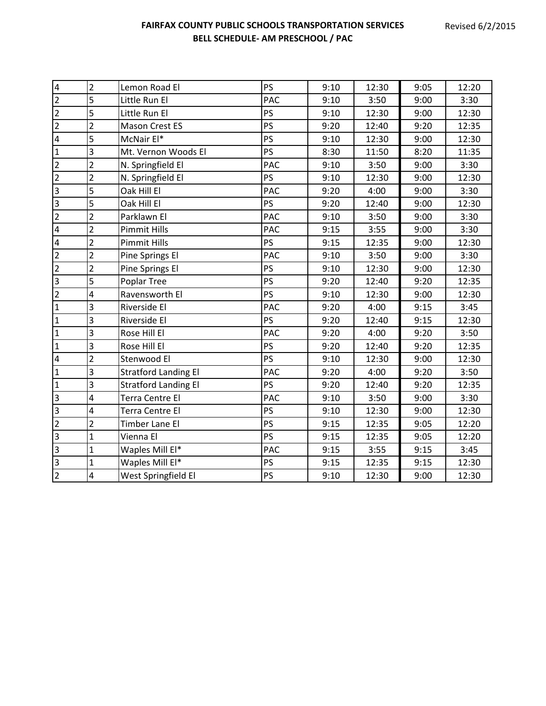| $\overline{2}$ | Lemon Road El               | PS        | 9:10 | 12:30 | 9:05 | 12:20 |
|----------------|-----------------------------|-----------|------|-------|------|-------|
| 5              | Little Run El               | PAC       | 9:10 | 3:50  | 9:00 | 3:30  |
| 5              | Little Run El               | <b>PS</b> | 9:10 | 12:30 | 9:00 | 12:30 |
| $\overline{2}$ | Mason Crest ES              | PS        | 9:20 | 12:40 | 9:20 | 12:35 |
| 5              | McNair El*                  | PS        | 9:10 | 12:30 | 9:00 | 12:30 |
| 3              | Mt. Vernon Woods El         | <b>PS</b> | 8:30 | 11:50 | 8:20 | 11:35 |
| $\overline{2}$ | N. Springfield El           | PAC       | 9:10 | 3:50  | 9:00 | 3:30  |
| $\overline{2}$ | N. Springfield El           | PS        | 9:10 | 12:30 | 9:00 | 12:30 |
| 5              | Oak Hill El                 | PAC       | 9:20 | 4:00  | 9:00 | 3:30  |
| $\overline{5}$ | Oak Hill El                 | PS        | 9:20 | 12:40 | 9:00 | 12:30 |
| $\overline{2}$ | Parklawn El                 | PAC       | 9:10 | 3:50  | 9:00 | 3:30  |
| $\overline{2}$ | <b>Pimmit Hills</b>         | PAC       | 9:15 | 3:55  | 9:00 | 3:30  |
| $\overline{2}$ | <b>Pimmit Hills</b>         | PS        | 9:15 | 12:35 | 9:00 | 12:30 |
| $\overline{2}$ | Pine Springs El             | PAC       | 9:10 | 3:50  | 9:00 | 3:30  |
| $\overline{2}$ | Pine Springs El             | PS        | 9:10 | 12:30 | 9:00 | 12:30 |
| 5              | Poplar Tree                 | <b>PS</b> | 9:20 | 12:40 | 9:20 | 12:35 |
| 4              | Ravensworth El              | PS        | 9:10 | 12:30 | 9:00 | 12:30 |
| 3              | Riverside El                | PAC       | 9:20 | 4:00  | 9:15 | 3:45  |
| $\overline{3}$ | Riverside El                | PS        | 9:20 | 12:40 | 9:15 | 12:30 |
| 3              | Rose Hill El                | PAC       | 9:20 | 4:00  | 9:20 | 3:50  |
| 3              | Rose Hill El                | <b>PS</b> | 9:20 | 12:40 | 9:20 | 12:35 |
| $\overline{2}$ | Stenwood El                 | PS        | 9:10 | 12:30 | 9:00 | 12:30 |
| 3              | <b>Stratford Landing El</b> | PAC       | 9:20 | 4:00  | 9:20 | 3:50  |
| $\overline{3}$ | <b>Stratford Landing El</b> | <b>PS</b> | 9:20 | 12:40 | 9:20 | 12:35 |
| 4              | Terra Centre El             | PAC       | 9:10 | 3:50  | 9:00 | 3:30  |
| 4              | Terra Centre El             | PS        | 9:10 | 12:30 | 9:00 | 12:30 |
| $\overline{2}$ | Timber Lane El              | PS        | 9:15 | 12:35 | 9:05 | 12:20 |
| $\mathbf{1}$   | Vienna El                   | <b>PS</b> | 9:15 | 12:35 | 9:05 | 12:20 |
| $\mathbf{1}$   | Waples Mill El*             | PAC       | 9:15 | 3:55  | 9:15 | 3:45  |
| $\mathbf{1}$   | Waples Mill El*             | PS        | 9:15 | 12:35 | 9:15 | 12:30 |
| 4              | West Springfield El         | <b>PS</b> | 9:10 | 12:30 | 9:00 | 12:30 |
|                |                             |           |      |       |      |       |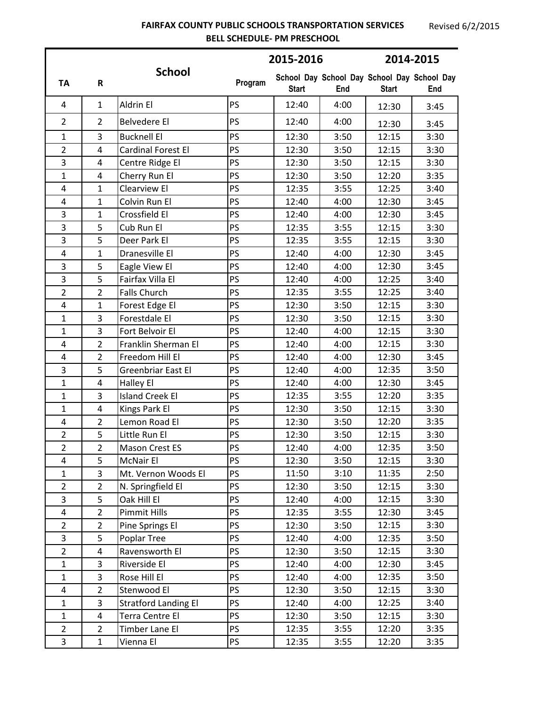#### **FAIRFAX COUNTY PUBLIC SCHOOLS TRANSPORTATION SERVICES BELL SCHEDULE- PM PRESCHOOL**

|                         |                         |                             |           | 2015-2016    |      | 2014-2015                                                   |      |  |
|-------------------------|-------------------------|-----------------------------|-----------|--------------|------|-------------------------------------------------------------|------|--|
| <b>TA</b>               | R                       | <b>School</b>               | Program   | <b>Start</b> | End  | School Day School Day School Day School Day<br><b>Start</b> | End  |  |
| 4                       | $\mathbf{1}$            | Aldrin El                   | PS        | 12:40        | 4:00 | 12:30                                                       | 3:45 |  |
| $\overline{2}$          | $\overline{2}$          | Belvedere El                | <b>PS</b> | 12:40        | 4:00 | 12:30                                                       | 3:45 |  |
| $\mathbf{1}$            | 3                       | <b>Bucknell El</b>          | PS        | 12:30        | 3:50 | 12:15                                                       | 3:30 |  |
| $\overline{2}$          | 4                       | <b>Cardinal Forest El</b>   | PS        | 12:30        | 3:50 | 12:15                                                       | 3:30 |  |
| 3                       | 4                       | Centre Ridge El             | PS        | 12:30        | 3:50 | 12:15                                                       | 3:30 |  |
| $\mathbf{1}$            | $\overline{4}$          | Cherry Run El               | <b>PS</b> | 12:30        | 3:50 | 12:20                                                       | 3:35 |  |
| $\overline{4}$          | $\mathbf{1}$            | Clearview El                | PS        | 12:35        | 3:55 | 12:25                                                       | 3:40 |  |
| 4                       | $\mathbf{1}$            | Colvin Run El               | PS        | 12:40        | 4:00 | 12:30                                                       | 3:45 |  |
| 3                       | $\mathbf{1}$            | Crossfield El               | PS        | 12:40        | 4:00 | 12:30                                                       | 3:45 |  |
| 3                       | 5                       | Cub Run El                  | <b>PS</b> | 12:35        | 3:55 | 12:15                                                       | 3:30 |  |
| 3                       | 5                       | Deer Park El                | PS        | 12:35        | 3:55 | 12:15                                                       | 3:30 |  |
| $\pmb{4}$               | $\mathbf{1}$            | Dranesville El              | PS        | 12:40        | 4:00 | 12:30                                                       | 3:45 |  |
| 3                       | 5                       | Eagle View El               | PS        | 12:40        | 4:00 | 12:30                                                       | 3:45 |  |
| 3                       | 5                       | Fairfax Villa El            | PS        | 12:40        | 4:00 | 12:25                                                       | 3:40 |  |
| $\overline{2}$          | $\overline{2}$          | <b>Falls Church</b>         | <b>PS</b> | 12:35        | 3:55 | 12:25                                                       | 3:40 |  |
| $\overline{4}$          | $\mathbf{1}$            | Forest Edge El              | PS        | 12:30        | 3:50 | 12:15                                                       | 3:30 |  |
| 1                       | 3                       | Forestdale El               | PS        | 12:30        | 3:50 | 12:15                                                       | 3:30 |  |
| $\mathbf{1}$            | 3                       | Fort Belvoir El             | PS        | 12:40        | 4:00 | 12:15                                                       | 3:30 |  |
| $\pmb{4}$               | $\overline{2}$          | Franklin Sherman El         | PS        | 12:40        | 4:00 | 12:15                                                       | 3:30 |  |
| 4                       | $\overline{2}$          | Freedom Hill El             | PS        | 12:40        | 4:00 | 12:30                                                       | 3:45 |  |
| 3                       | 5                       | Greenbriar East El          | PS        | 12:40        | 4:00 | 12:35                                                       | 3:50 |  |
| 1                       | $\overline{4}$          | Halley El                   | PS        | 12:40        | 4:00 | 12:30                                                       | 3:45 |  |
| $\mathbf{1}$            | 3                       | <b>Island Creek El</b>      | PS        | 12:35        | 3:55 | 12:20                                                       | 3:35 |  |
| 1                       | 4                       | Kings Park El               | PS        | 12:30        | 3:50 | 12:15                                                       | 3:30 |  |
| $\overline{\mathbf{4}}$ | $\overline{2}$          | Lemon Road El               | <b>PS</b> | 12:30        | 3:50 | 12:20                                                       | 3:35 |  |
| $\overline{2}$          | 5                       | Little Run El               | PS        | 12:30        | 3:50 | 12:15                                                       | 3:30 |  |
| $\overline{2}$          | $\overline{2}$          | Mason Crest ES              | PS        | 12:40        | 4:00 | 12:35                                                       | 3:50 |  |
| 4                       | 5                       | <b>McNair El</b>            | PS        | 12:30        | 3:50 | 12:15                                                       | 3:30 |  |
| $\mathbf{1}$            | 3                       | Mt. Vernon Woods El         | PS        | 11:50        | 3:10 | 11:35                                                       | 2:50 |  |
| $\overline{2}$          | $\overline{2}$          | N. Springfield El           | PS        | 12:30        | 3:50 | 12:15                                                       | 3:30 |  |
| 3                       | 5                       | Oak Hill El                 | PS        | 12:40        | 4:00 | 12:15                                                       | 3:30 |  |
| $\overline{\mathbf{4}}$ | $\overline{2}$          | <b>Pimmit Hills</b>         | PS        | 12:35        | 3:55 | 12:30                                                       | 3:45 |  |
| $\overline{2}$          | $\overline{2}$          | Pine Springs El             | PS        | 12:30        | 3:50 | 12:15                                                       | 3:30 |  |
| 3                       | 5                       | <b>Poplar Tree</b>          | PS        | 12:40        | 4:00 | 12:35                                                       | 3:50 |  |
| $\overline{2}$          | 4                       | Ravensworth El              | PS        | 12:30        | 3:50 | 12:15                                                       | 3:30 |  |
| $\mathbf{1}$            | 3                       | Riverside El                | <b>PS</b> | 12:40        | 4:00 | 12:30                                                       | 3:45 |  |
| $\mathbf{1}$            | 3                       | Rose Hill El                | <b>PS</b> | 12:40        | 4:00 | 12:35                                                       | 3:50 |  |
| $\overline{\mathbf{4}}$ | $\overline{2}$          | Stenwood El                 | PS        | 12:30        | 3:50 | 12:15                                                       | 3:30 |  |
| $\mathbf{1}$            | 3                       | <b>Stratford Landing El</b> | PS        | 12:40        | 4:00 | 12:25                                                       | 3:40 |  |
| $\mathbf{1}$            | $\overline{\mathbf{4}}$ | Terra Centre El             | PS        | 12:30        | 3:50 | 12:15                                                       | 3:30 |  |
| $\overline{2}$          | $\overline{2}$          | Timber Lane El              | <b>PS</b> | 12:35        | 3:55 | 12:20                                                       | 3:35 |  |
| 3                       | $\mathbf{1}$            | Vienna El                   | <b>PS</b> | 12:35        | 3:55 | 12:20                                                       | 3:35 |  |